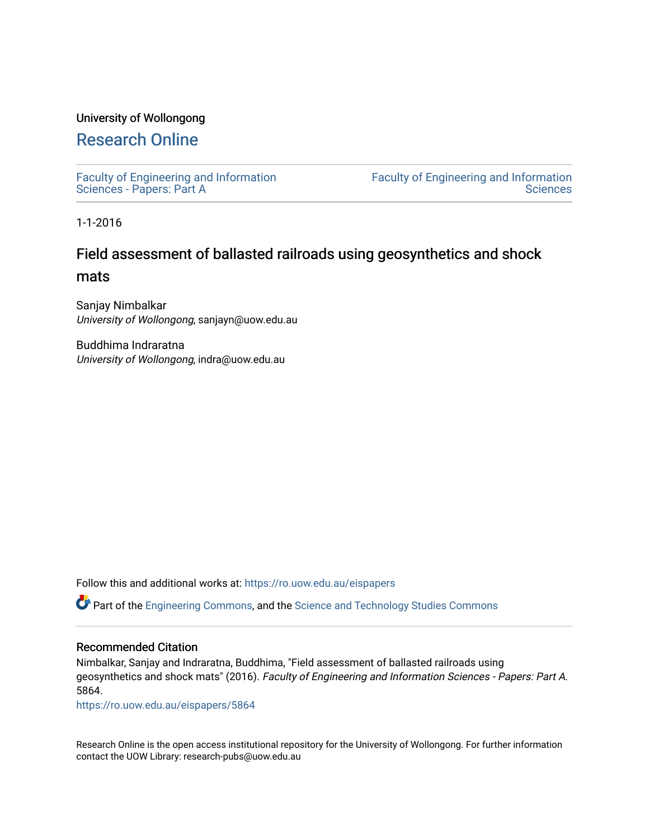#### University of Wollongong

## [Research Online](https://ro.uow.edu.au/)

[Faculty of Engineering and Information](https://ro.uow.edu.au/eispapers)  [Sciences - Papers: Part A](https://ro.uow.edu.au/eispapers) 

[Faculty of Engineering and Information](https://ro.uow.edu.au/eis)  **Sciences** 

1-1-2016

## Field assessment of ballasted railroads using geosynthetics and shock mats

Sanjay Nimbalkar University of Wollongong, sanjayn@uow.edu.au

Buddhima Indraratna University of Wollongong, indra@uow.edu.au

Follow this and additional works at: [https://ro.uow.edu.au/eispapers](https://ro.uow.edu.au/eispapers?utm_source=ro.uow.edu.au%2Feispapers%2F5864&utm_medium=PDF&utm_campaign=PDFCoverPages)

Part of the [Engineering Commons](http://network.bepress.com/hgg/discipline/217?utm_source=ro.uow.edu.au%2Feispapers%2F5864&utm_medium=PDF&utm_campaign=PDFCoverPages), and the [Science and Technology Studies Commons](http://network.bepress.com/hgg/discipline/435?utm_source=ro.uow.edu.au%2Feispapers%2F5864&utm_medium=PDF&utm_campaign=PDFCoverPages)

#### Recommended Citation

Nimbalkar, Sanjay and Indraratna, Buddhima, "Field assessment of ballasted railroads using geosynthetics and shock mats" (2016). Faculty of Engineering and Information Sciences - Papers: Part A. 5864.

[https://ro.uow.edu.au/eispapers/5864](https://ro.uow.edu.au/eispapers/5864?utm_source=ro.uow.edu.au%2Feispapers%2F5864&utm_medium=PDF&utm_campaign=PDFCoverPages) 

Research Online is the open access institutional repository for the University of Wollongong. For further information contact the UOW Library: research-pubs@uow.edu.au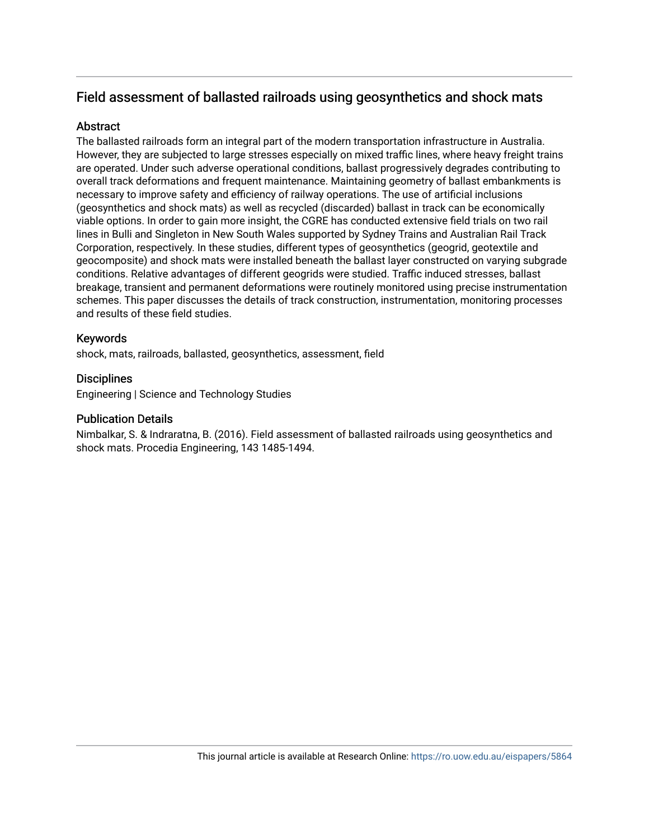## Field assessment of ballasted railroads using geosynthetics and shock mats

#### **Abstract**

The ballasted railroads form an integral part of the modern transportation infrastructure in Australia. However, they are subjected to large stresses especially on mixed traffic lines, where heavy freight trains are operated. Under such adverse operational conditions, ballast progressively degrades contributing to overall track deformations and frequent maintenance. Maintaining geometry of ballast embankments is necessary to improve safety and efficiency of railway operations. The use of artificial inclusions (geosynthetics and shock mats) as well as recycled (discarded) ballast in track can be economically viable options. In order to gain more insight, the CGRE has conducted extensive field trials on two rail lines in Bulli and Singleton in New South Wales supported by Sydney Trains and Australian Rail Track Corporation, respectively. In these studies, different types of geosynthetics (geogrid, geotextile and geocomposite) and shock mats were installed beneath the ballast layer constructed on varying subgrade conditions. Relative advantages of different geogrids were studied. Traffic induced stresses, ballast breakage, transient and permanent deformations were routinely monitored using precise instrumentation schemes. This paper discusses the details of track construction, instrumentation, monitoring processes and results of these field studies.

#### Keywords

shock, mats, railroads, ballasted, geosynthetics, assessment, field

#### **Disciplines**

Engineering | Science and Technology Studies

#### Publication Details

Nimbalkar, S. & Indraratna, B. (2016). Field assessment of ballasted railroads using geosynthetics and shock mats. Procedia Engineering, 143 1485-1494.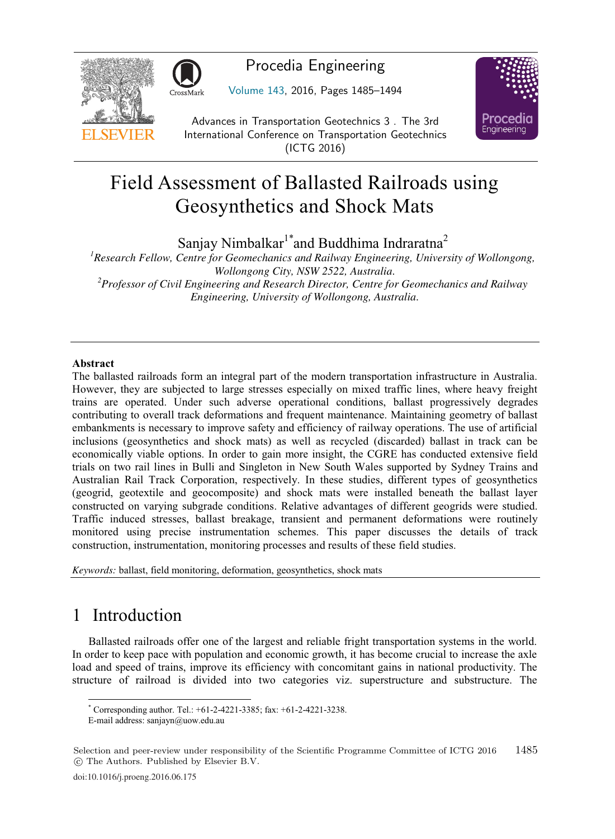

## Procedia Engineering

Volume 143, 2016, Pages 1485–1494



Advances in Transportation Geotechnics 3 . The 3rd International Conference on Transportation Geotechnics (ICTG 2016)

# Field Assessment of Ballasted Railroads using Geosynthetics and Shock Mats

Sanjay Nimbalkar<sup>1\*</sup>and Buddhima Indraratna<sup>2</sup>

*1 Research Fellow, Centre for Geomechanics and Railway Engineering, University of Wollongong, Wollongong City, NSW 2522, Australia. 2 Professor of Civil Engineering and Research Director, Centre for Geomechanics and Railway Engineering, University of Wollongong, Australia.* 

The ballasted railroads form an integral part of the modern transportation infrastructure in Australia. However, they are subjected to large stresses especially on mixed traffic lines, where heavy freight trains are operated. Under such adverse operational conditions, ballast progressively degrades contributing to overall track deformations and frequent maintenance. Maintaining geometry of ballast embankments is necessary to improve safety and efficiency of railway operations. The use of artificial inclusions (geosynthetics and shock mats) as well as recycled (discarded) ballast in track can be economically viable options. In order to gain more insight, the CGRE has conducted extensive field trials on two rail lines in Bulli and Singleton in New South Wales supported by Sydney Trains and Australian Rail Track Corporation, respectively. In these studies, different types of geosynthetics (geogrid, geotextile and geocomposite) and shock mats were installed beneath the ballast layer constructed on varying subgrade conditions. Relative advantages of different geogrids were studied. Traffic induced stresses, ballast breakage, transient and permanent deformations were routinely monitored using precise instrumentation schemes. This paper discusses the details of track construction, instrumentation, monitoring processes and results of these field studies.

*Keywords:* ballast, field monitoring, deformation, geosynthetics, shock mats

## 1 Introduction

Ballasted railroads offer one of the largest and reliable fright transportation systems in the world. In order to keep pace with population and economic growth, it has become crucial to increase the axle load and speed of trains, improve its efficiency with concomitant gains in national productivity. The structure of railroad is divided into two categories viz. superstructure and substructure. The

 $\overline{a}$ \* Corresponding author. Tel.: +61-2-4221-3385; fax: +61-2-4221-3238.

E-mail address: sanjayn@uow.edu.au

Selection and peer-review under responsibility of the Scientific Programme Committee of ICTG 2016 -c The Authors. Published by Elsevier B.V. 1485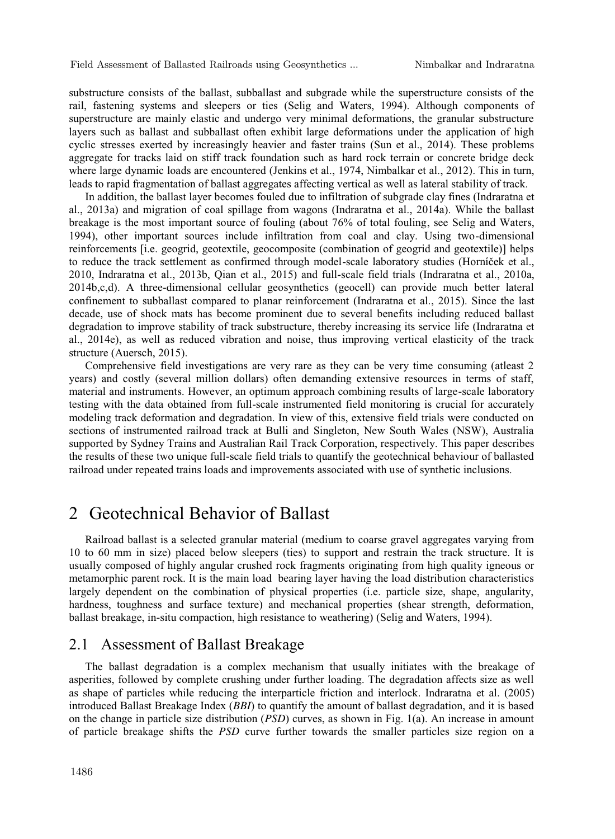substructure consists of the ballast, subballast and subgrade while the superstructure consists of the rail, fastening systems and sleepers or ties (Selig and Waters, 1994). Although components of superstructure are mainly elastic and undergo very minimal deformations, the granular substructure layers such as ballast and subballast often exhibit large deformations under the application of high cyclic stresses exerted by increasingly heavier and faster trains (Sun et al., 2014). These problems aggregate for tracks laid on stiff track foundation such as hard rock terrain or concrete bridge deck where large dynamic loads are encountered (Jenkins et al., 1974, Nimbalkar et al., 2012). This in turn, leads to rapid fragmentation of ballast aggregates affecting vertical as well as lateral stability of track.

In addition, the ballast layer becomes fouled due to infiltration of subgrade clay fines (Indraratna et al., 2013a) and migration of coal spillage from wagons (Indraratna et al., 2014a). While the ballast breakage is the most important source of fouling (about 76% of total fouling, see Selig and Waters, 1994), other important sources include infiltration from coal and clay. Using two-dimensional reinforcements [i.e. geogrid, geotextile, geocomposite (combination of geogrid and geotextile)] helps to reduce the track settlement as confirmed through model-scale laboratory studies (Horníček et al., 2010, Indraratna et al., 2013b, Qian et al., 2015) and full-scale field trials (Indraratna et al., 2010a, 2014b,c,d). A three-dimensional cellular geosynthetics (geocell) can provide much better lateral confinement to subballast compared to planar reinforcement (Indraratna et al., 2015). Since the last decade, use of shock mats has become prominent due to several benefits including reduced ballast degradation to improve stability of track substructure, thereby increasing its service life (Indraratna et al., 2014e), as well as reduced vibration and noise, thus improving vertical elasticity of the track structure (Auersch, 2015).

Comprehensive field investigations are very rare as they can be very time consuming (atleast 2 years) and costly (several million dollars) often demanding extensive resources in terms of staff, material and instruments. However, an optimum approach combining results of large-scale laboratory testing with the data obtained from full-scale instrumented field monitoring is crucial for accurately modeling track deformation and degradation. In view of this, extensive field trials were conducted on sections of instrumented railroad track at Bulli and Singleton, New South Wales (NSW), Australia supported by Sydney Trains and Australian Rail Track Corporation, respectively. This paper describes the results of these two unique full-scale field trials to quantify the geotechnical behaviour of ballasted railroad under repeated trains loads and improvements associated with use of synthetic inclusions.

## 2 Geotechnical Behavior of Ballast

Railroad ballast is a selected granular material (medium to coarse gravel aggregates varying from 10 to 60 mm in size) placed below sleepers (ties) to support and restrain the track structure. It is usually composed of highly angular crushed rock fragments originating from high quality igneous or metamorphic parent rock. It is the main load bearing layer having the load distribution characteristics largely dependent on the combination of physical properties (i.e. particle size, shape, angularity, hardness, toughness and surface texture) and mechanical properties (shear strength, deformation, ballast breakage, in-situ compaction, high resistance to weathering) (Selig and Waters, 1994).

#### 2.1 Assessment of Ballast Breakage

The ballast degradation is a complex mechanism that usually initiates with the breakage of asperities, followed by complete crushing under further loading. The degradation affects size as well as shape of particles while reducing the interparticle friction and interlock. Indraratna et al. (2005) introduced Ballast Breakage Index (*BBI*) to quantify the amount of ballast degradation, and it is based on the change in particle size distribution (*PSD*) curves, as shown in Fig. 1(a). An increase in amount of particle breakage shifts the *PSD* curve further towards the smaller particles size region on a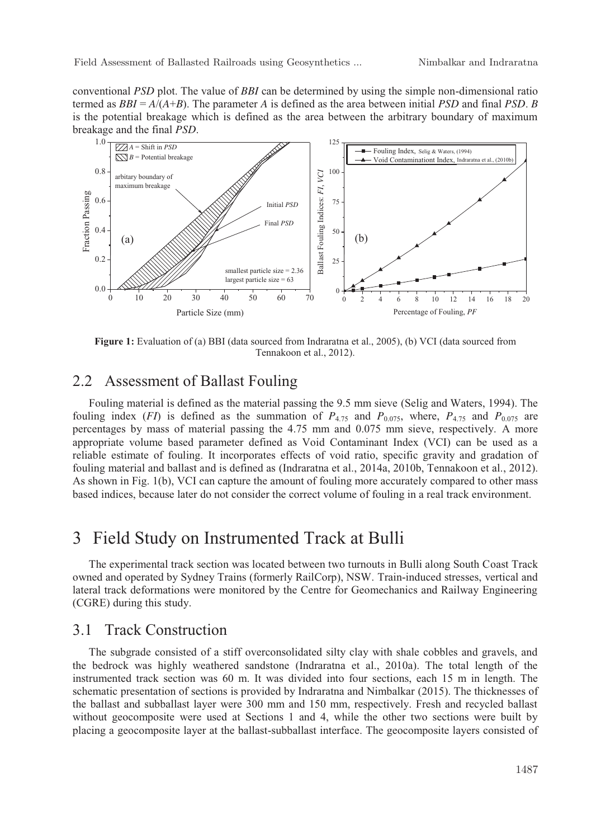Field Assessment of Ballasted Railroads using Geosynthetics ... Nimbalkar and Indraratna

conventional *PSD* plot. The value of *BBI* can be determined by using the simple non-dimensional ratio termed as *BBI* = *A*/(*A*+*B*). The parameter *A* is defined as the area between initial *PSD* and final *PSD*. *B* is the potential breakage which is defined as the area between the arbitrary boundary of maximum breakage and the final *PSD*.



**Figure 1:** Evaluation of (a) BBI (data sourced from Indraratna et al., 2005), (b) VCI (data sourced from Tennakoon et al., 2012).

### 2.2 Assessment of Ballast Fouling

Fouling material is defined as the material passing the 9.5 mm sieve (Selig and Waters, 1994). The fouling index (*FI*) is defined as the summation of  $P_{4.75}$  and  $P_{0.075}$ , where,  $P_{4.75}$  and  $P_{0.075}$  are percentages by mass of material passing the 4.75 mm and 0.075 mm sieve, respectively. A more appropriate volume based parameter defined as Void Contaminant Index (VCI) can be used as a reliable estimate of fouling. It incorporates effects of void ratio, specific gravity and gradation of fouling material and ballast and is defined as (Indraratna et al., 2014a, 2010b, Tennakoon et al., 2012). As shown in Fig. 1(b), VCI can capture the amount of fouling more accurately compared to other mass based indices, because later do not consider the correct volume of fouling in a real track environment.

## 3 Field Study on Instrumented Track at Bulli

The experimental track section was located between two turnouts in Bulli along South Coast Track owned and operated by Sydney Trains (formerly RailCorp), NSW. Train-induced stresses, vertical and lateral track deformations were monitored by the Centre for Geomechanics and Railway Engineering (CGRE) during this study.

#### 3.1 Track Construction

The subgrade consisted of a stiff overconsolidated silty clay with shale cobbles and gravels, and the bedrock was highly weathered sandstone (Indraratna et al., 2010a). The total length of the instrumented track section was 60 m. It was divided into four sections, each 15 m in length. The schematic presentation of sections is provided by Indraratna and Nimbalkar (2015). The thicknesses of the ballast and subballast layer were 300 mm and 150 mm, respectively. Fresh and recycled ballast without geocomposite were used at Sections 1 and 4, while the other two sections were built by placing a geocomposite layer at the ballast-subballast interface. The geocomposite layers consisted of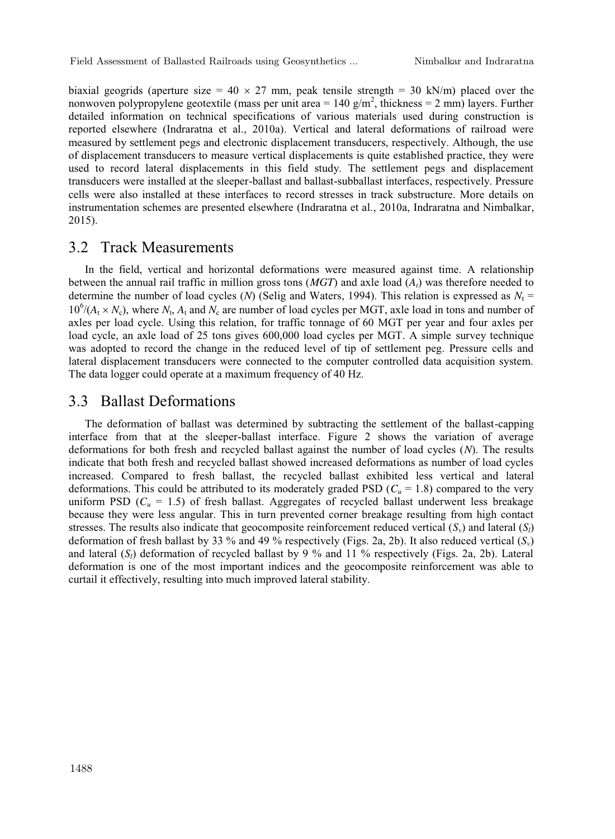biaxial geogrids (aperture size = 40  $\times$  27 mm, peak tensile strength = 30 kN/m) placed over the nonwoven polypropylene geotextile (mass per unit area =  $140 \text{ g/m}^2$ , thickness =  $2 \text{ mm}$ ) layers. Further detailed information on technical specifications of various materials used during construction is reported elsewhere (Indraratna et al., 2010a). Vertical and lateral deformations of railroad were measured by settlement pegs and electronic displacement transducers, respectively. Although, the use of displacement transducers to measure vertical displacements is quite established practice, they were used to record lateral displacements in this field study. The settlement pegs and displacement transducers were installed at the sleeper-ballast and ballast-subballast interfaces, respectively. Pressure cells were also installed at these interfaces to record stresses in track substructure. More details on instrumentation schemes are presented elsewhere (Indraratna et al., 2010a, Indraratna and Nimbalkar, 2015).

#### 3.2 Track Measurements

In the field, vertical and horizontal deformations were measured against time. A relationship between the annual rail traffic in million gross tons (*MGT*) and axle load (*At*) was therefore needed to determine the number of load cycles (*N*) (Selig and Waters, 1994). This relation is expressed as  $N_t$  =  $10^6/(A_t \times N_c)$ , where  $N_t$ ,  $A_t$  and  $N_c$  are number of load cycles per MGT, axle load in tons and number of axles per load cycle. Using this relation, for traffic tonnage of 60 MGT per year and four axles per load cycle, an axle load of 25 tons gives 600,000 load cycles per MGT. A simple survey technique was adopted to record the change in the reduced level of tip of settlement peg. Pressure cells and lateral displacement transducers were connected to the computer controlled data acquisition system. The data logger could operate at a maximum frequency of 40 Hz.

#### 3.3 Ballast Deformations

The deformation of ballast was determined by subtracting the settlement of the ballast-capping interface from that at the sleeper-ballast interface. Figure 2 shows the variation of average deformations for both fresh and recycled ballast against the number of load cycles (*N*). The results indicate that both fresh and recycled ballast showed increased deformations as number of load cycles increased. Compared to fresh ballast, the recycled ballast exhibited less vertical and lateral deformations. This could be attributed to its moderately graded PSD ( $C_u = 1.8$ ) compared to the very uniform PSD  $(C_u = 1.5)$  of fresh ballast. Aggregates of recycled ballast underwent less breakage because they were less angular. This in turn prevented corner breakage resulting from high contact stresses. The results also indicate that geocomposite reinforcement reduced vertical  $(S_v)$  and lateral  $(S_i)$ deformation of fresh ballast by 33 % and 49 % respectively (Figs. 2a, 2b). It also reduced vertical (*Sv*) and lateral (*S<sub>i</sub>*) deformation of recycled ballast by 9 % and 11 % respectively (Figs. 2a, 2b). Lateral deformation is one of the most important indices and the geocomposite reinforcement was able to curtail it effectively, resulting into much improved lateral stability.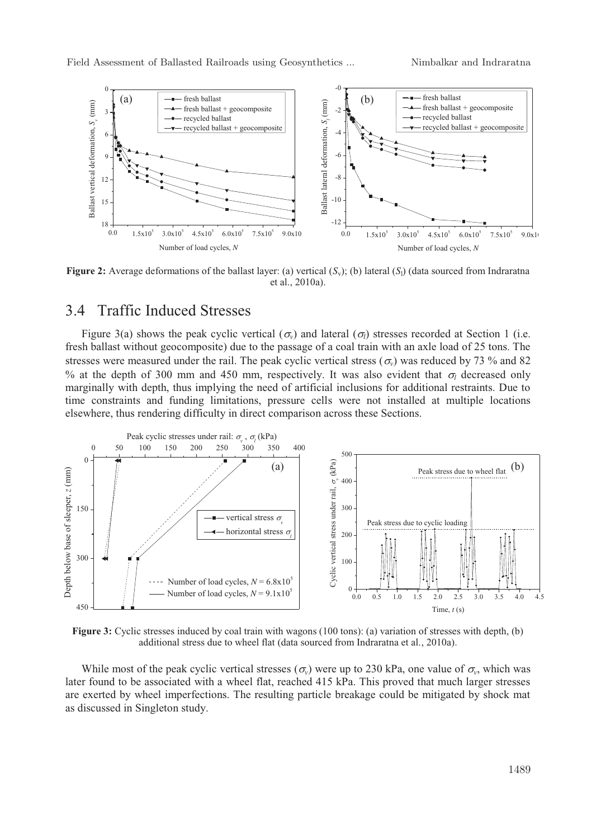

**Figure 2:** Average deformations of the ballast layer: (a) vertical  $(S_v)$ ; (b) lateral  $(S_l)$  (data sourced from Indraratna et al., 2010a) et al., 2010a).

#### 3.4 Traffic Induced Stresses

Figure 3(a) shows the peak cyclic vertical ( $\sigma_{\nu}$ ) and lateral ( $\sigma_{\bar{\nu}}$ ) stresses recorded at Section 1 (i.e. fresh ballast without geocomposite) due to the passage of a coal train with an axle load of 25 tons. The stresses were measured under the rail. The peak cyclic vertical stress ( $\sigma$ <sub>*v*</sub>) was reduced by 73 % and 82 % at the depth of 300 mm and 450 mm, respectively. It was also evident that  $\sigma_l$  decreased only marginally with depth, thus implying the need of artificial inclusions for additional restraints. Due to time constraints and funding limitations, pressure cells were not installed at multiple locations elsewhere, thus rendering difficulty in direct comparison across these Sections.



**Figure 3:** Cyclic stresses induced by coal train with wagons (100 tons): (a) variation of stresses with depth, (b) additional stress due to wheel flat (data sourced from Indraratna et al., 2010a).

While most of the peak cyclic vertical stresses ( $\sigma_v$ ) were up to 230 kPa, one value of  $\sigma_v$ , which was later found to be associated with a wheel flat, reached 415 kPa. This proved that much larger stresses are exerted by wheel imperfections. The resulting particle breakage could be mitigated by shock mat as discussed in Singleton study.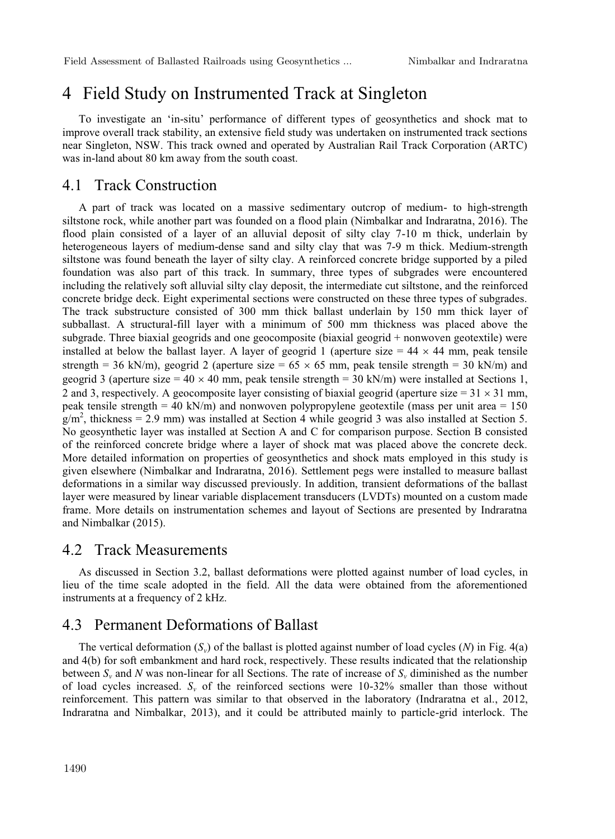## 4 Field Study on Instrumented Track at Singleton

To investigate an 'in-situ' performance of different types of geosynthetics and shock mat to improve overall track stability, an extensive field study was undertaken on instrumented track sections near Singleton, NSW. This track owned and operated by Australian Rail Track Corporation (ARTC) was in-land about 80 km away from the south coast.

#### 4.1 Track Construction

A part of track was located on a massive sedimentary outcrop of medium- to high-strength siltstone rock, while another part was founded on a flood plain (Nimbalkar and Indraratna, 2016). The flood plain consisted of a layer of an alluvial deposit of silty clay 7-10 m thick, underlain by heterogeneous layers of medium-dense sand and silty clay that was 7-9 m thick. Medium-strength siltstone was found beneath the layer of silty clay. A reinforced concrete bridge supported by a piled foundation was also part of this track. In summary, three types of subgrades were encountered including the relatively soft alluvial silty clay deposit, the intermediate cut siltstone, and the reinforced concrete bridge deck. Eight experimental sections were constructed on these three types of subgrades. The track substructure consisted of 300 mm thick ballast underlain by 150 mm thick layer of subballast. A structural-fill layer with a minimum of 500 mm thickness was placed above the subgrade. Three biaxial geogrids and one geocomposite (biaxial geogrid + nonwoven geotextile) were installed at below the ballast layer. A layer of geogrid 1 (aperture size  $= 44 \times 44$  mm, peak tensile strength = 36 kN/m), geogrid 2 (aperture size =  $65 \times 65$  mm, peak tensile strength = 30 kN/m) and geogrid 3 (aperture size =  $40 \times 40$  mm, peak tensile strength =  $30$  kN/m) were installed at Sections 1, 2 and 3, respectively. A geocomposite layer consisting of biaxial geogrid (aperture size =  $31 \times 31$  mm, peak tensile strength = 40 kN/m) and nonwoven polypropylene geotextile (mass per unit area =  $150$ )  $g/m^2$ , thickness = 2.9 mm) was installed at Section 4 while geogrid 3 was also installed at Section 5. No geosynthetic layer was installed at Section A and C for comparison purpose. Section B consisted of the reinforced concrete bridge where a layer of shock mat was placed above the concrete deck. More detailed information on properties of geosynthetics and shock mats employed in this study is given elsewhere (Nimbalkar and Indraratna, 2016). Settlement pegs were installed to measure ballast deformations in a similar way discussed previously. In addition, transient deformations of the ballast layer were measured by linear variable displacement transducers (LVDTs) mounted on a custom made frame. More details on instrumentation schemes and layout of Sections are presented by Indraratna and Nimbalkar (2015).

#### 4.2 Track Measurements

As discussed in Section 3.2, ballast deformations were plotted against number of load cycles, in lieu of the time scale adopted in the field. All the data were obtained from the aforementioned instruments at a frequency of 2 kHz.

#### 4.3 Permanent Deformations of Ballast

The vertical deformation  $(S_v)$  of the ballast is plotted against number of load cycles  $(N)$  in Fig. 4(a) and 4(b) for soft embankment and hard rock, respectively. These results indicated that the relationship between  $S_v$  and *N* was non-linear for all Sections. The rate of increase of  $S_v$  diminished as the number of load cycles increased.  $S_v$  of the reinforced sections were 10-32% smaller than those without reinforcement. This pattern was similar to that observed in the laboratory (Indraratna et al., 2012, Indraratna and Nimbalkar, 2013), and it could be attributed mainly to particle-grid interlock. The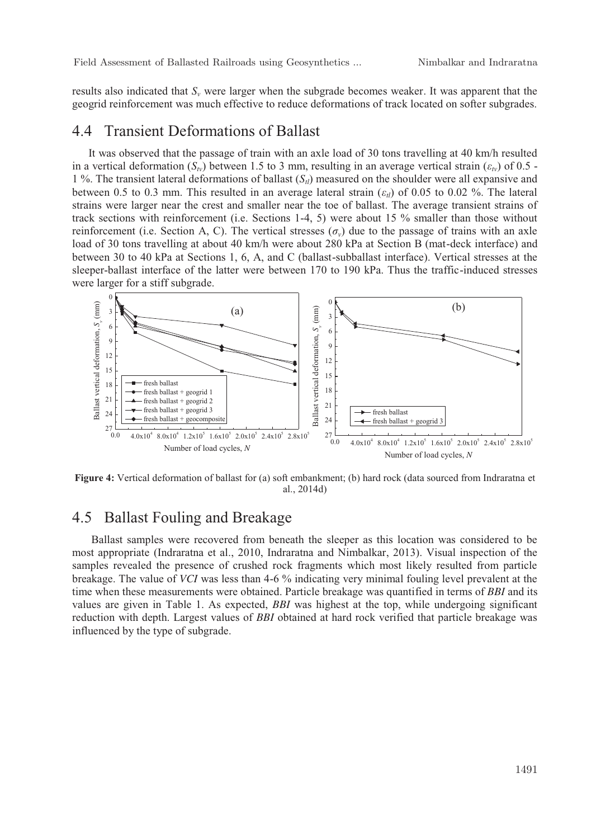results also indicated that *Sv* were larger when the subgrade becomes weaker. It was apparent that the geogrid reinforcement was much effective to reduce deformations of track located on softer subgrades.

#### 4.4 Transient Deformations of Ballast

It was observed that the passage of train with an axle load of 30 tons travelling at 40 km/h resulted in a vertical deformation  $(S_{\nu})$  between 1.5 to 3 mm, resulting in an average vertical strain  $(\varepsilon_{\nu})$  of 0.5 -1 %. The transient lateral deformations of ballast  $(S<sub>tl</sub>)$  measured on the shoulder were all expansive and between 0.5 to 0.3 mm. This resulted in an average lateral strain  $(\varepsilon_i)$  of 0.05 to 0.02 %. The lateral strains were larger near the crest and smaller near the toe of ballast. The average transient strains of track sections with reinforcement (i.e. Sections 1-4, 5) were about 15 % smaller than those without reinforcement (i.e. Section A, C). The vertical stresses  $(\sigma_v)$  due to the passage of trains with an axle load of 30 tons travelling at about 40 km/h were about 280 kPa at Section B (mat-deck interface) and between 30 to 40 kPa at Sections 1, 6, A, and C (ballast-subballast interface). Vertical stresses at the sleeper-ballast interface of the latter were between 170 to 190 kPa. Thus the traffic-induced stresses were larger for a stiff subgrade.



**Figure 4:** Vertical deformation of ballast for (a) soft embankment; (b) hard rock (data sourced from Indraratna et al., 2014d)

### 4.5 Ballast Fouling and Breakage

 Ballast samples were recovered from beneath the sleeper as this location was considered to be most appropriate (Indraratna et al., 2010, Indraratna and Nimbalkar, 2013). Visual inspection of the samples revealed the presence of crushed rock fragments which most likely resulted from particle breakage. The value of *VCI* was less than 4-6 % indicating very minimal fouling level prevalent at the time when these measurements were obtained. Particle breakage was quantified in terms of *BBI* and its values are given in Table 1. As expected, *BBI* was highest at the top, while undergoing significant reduction with depth. Largest values of *BBI* obtained at hard rock verified that particle breakage was influenced by the type of subgrade.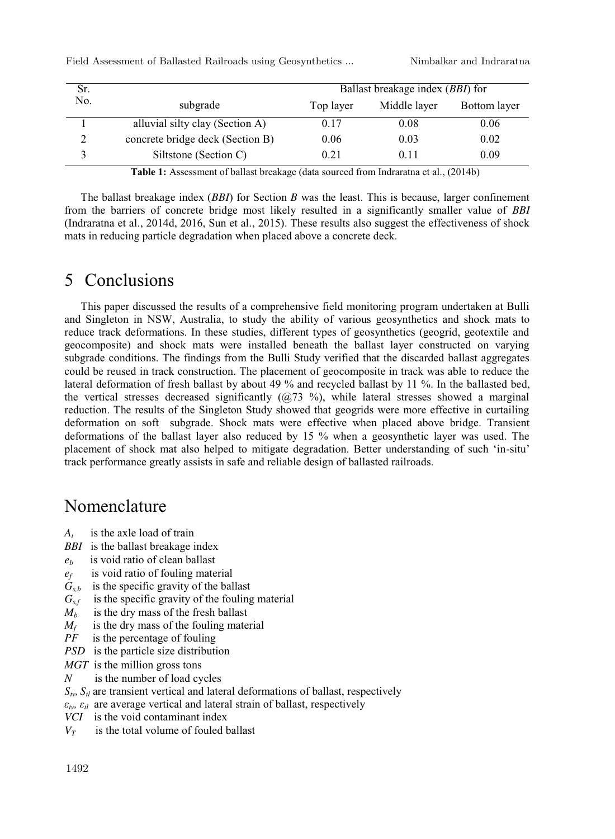Field Assessment of Ballasted Railroads using Geosynthetics ... Nimbalkar and Indraratna

| Sr.<br>No. |                                  | Ballast breakage index (BBI) for |              |              |
|------------|----------------------------------|----------------------------------|--------------|--------------|
|            | subgrade                         | Top layer                        | Middle layer | Bottom layer |
|            | alluvial silty clay (Section A)  | 0.17                             | 0.08         | 0.06         |
|            | concrete bridge deck (Section B) | 0.06                             | 0.03         | 0.02         |
|            | Siltstone (Section C)            | 0.21                             | 0.11         | 0.09         |

**Table 1:** Assessment of ballast breakage (data sourced from Indraratna et al., (2014b)

The ballast breakage index (*BBI*) for Section *B* was the least. This is because, larger confinement from the barriers of concrete bridge most likely resulted in a significantly smaller value of *BBI* (Indraratna et al., 2014d, 2016, Sun et al., 2015). These results also suggest the effectiveness of shock mats in reducing particle degradation when placed above a concrete deck.

## 5 Conclusions

This paper discussed the results of a comprehensive field monitoring program undertaken at Bulli and Singleton in NSW, Australia, to study the ability of various geosynthetics and shock mats to reduce track deformations. In these studies, different types of geosynthetics (geogrid, geotextile and geocomposite) and shock mats were installed beneath the ballast layer constructed on varying subgrade conditions. The findings from the Bulli Study verified that the discarded ballast aggregates could be reused in track construction. The placement of geocomposite in track was able to reduce the lateral deformation of fresh ballast by about 49 % and recycled ballast by 11 %. In the ballasted bed, the vertical stresses decreased significantly  $(Q73 \text{ %})$ , while lateral stresses showed a marginal reduction. The results of the Singleton Study showed that geogrids were more effective in curtailing deformation on soft subgrade. Shock mats were effective when placed above bridge. Transient deformations of the ballast layer also reduced by 15 % when a geosynthetic layer was used. The placement of shock mat also helped to mitigate degradation. Better understanding of such 'in-situ' track performance greatly assists in safe and reliable design of ballasted railroads.

## Nomenclature

- *At* is the axle load of train
- *BBI* is the ballast breakage index
- *eb* is void ratio of clean ballast
- *ef* is void ratio of fouling material
- $G<sub>sh</sub>$  is the specific gravity of the ballast
- $G_{s,f}$  is the specific gravity of the fouling material
- $M_h$  is the dry mass of the fresh ballast
- $M_f$  is the dry mass of the fouling material
- *PF* is the percentage of fouling
- *PSD* is the particle size distribution
- *MGT* is the million gross tons
- *N* is the number of load cycles
- $S_{t}$ ,  $S_{t}$  are transient vertical and lateral deformations of ballast, respectively
- $\varepsilon_{tv}$ ,  $\varepsilon_{tl}$  are average vertical and lateral strain of ballast, respectively
- *VCI* is the void contaminant index
- $V_T$  is the total volume of fouled ballast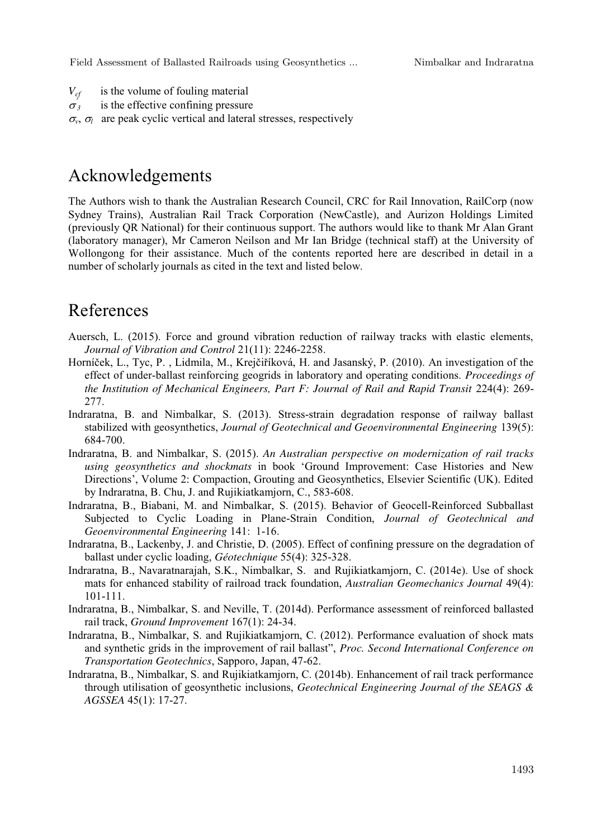Field Assessment of Ballasted Railroads using Geosynthetics ... Nimbalkar and Indraratna

- $V_{cf}$  is the volume of fouling material
- $\sigma$ *<sup>3</sup>* is the effective confining pressure
- $\sigma_{\nu}$ ,  $\sigma_{\nu}$  are peak cyclic vertical and lateral stresses, respectively

## Acknowledgements

The Authors wish to thank the Australian Research Council, CRC for Rail Innovation, RailCorp (now Sydney Trains), Australian Rail Track Corporation (NewCastle), and Aurizon Holdings Limited (previously QR National) for their continuous support. The authors would like to thank Mr Alan Grant (laboratory manager), Mr Cameron Neilson and Mr Ian Bridge (technical staff) at the University of Wollongong for their assistance. Much of the contents reported here are described in detail in a number of scholarly journals as cited in the text and listed below.

## References

- Auersch, L. (2015). Force and ground vibration reduction of railway tracks with elastic elements, *Journal of Vibration and Control* 21(11): 2246-2258.
- Horníček, L., Tyc, P. , Lidmila, M., Krejčiříková, H. and Jasanský, P. (2010). An investigation of the effect of under-ballast reinforcing geogrids in laboratory and operating conditions. *Proceedings of the Institution of Mechanical Engineers, Part F: Journal of Rail and Rapid Transit* 224(4): 269- 277.
- Indraratna, B. and Nimbalkar, S. (2013). Stress-strain degradation response of railway ballast stabilized with geosynthetics, *Journal of Geotechnical and Geoenvironmental Engineering* 139(5): 684-700.
- Indraratna, B. and Nimbalkar, S. (2015). *An Australian perspective on modernization of rail tracks using geosynthetics and shockmats* in book 'Ground Improvement: Case Histories and New Directions', Volume 2: Compaction, Grouting and Geosynthetics, Elsevier Scientific (UK). Edited by Indraratna, B. Chu, J. and Rujikiatkamjorn, C., 583-608.
- Indraratna, B., Biabani, M. and Nimbalkar, S. (2015). Behavior of Geocell-Reinforced Subballast Subjected to Cyclic Loading in Plane-Strain Condition, *Journal of Geotechnical and Geoenvironmental Engineering* 141: 1-16.
- Indraratna, B., Lackenby, J. and Christie, D. (2005). Effect of confining pressure on the degradation of ballast under cyclic loading, *Géotechnique* 55(4): 325-328.
- Indraratna, B., Navaratnarajah, S.K., Nimbalkar, S. and Rujikiatkamjorn, C. (2014e). Use of shock mats for enhanced stability of railroad track foundation, *Australian Geomechanics Journal* 49(4): 101-111.
- Indraratna, B., Nimbalkar, S. and Neville, T. (2014d). Performance assessment of reinforced ballasted rail track, *Ground Improvement* 167(1): 24-34.
- Indraratna, B., Nimbalkar, S. and Rujikiatkamjorn, C. (2012). Performance evaluation of shock mats and synthetic grids in the improvement of rail ballast", *Proc. Second International Conference on Transportation Geotechnics*, Sapporo, Japan, 47-62.
- Indraratna, B., Nimbalkar, S. and Rujikiatkamjorn, C. (2014b). Enhancement of rail track performance through utilisation of geosynthetic inclusions, *Geotechnical Engineering Journal of the SEAGS & AGSSEA* 45(1): 17-27.